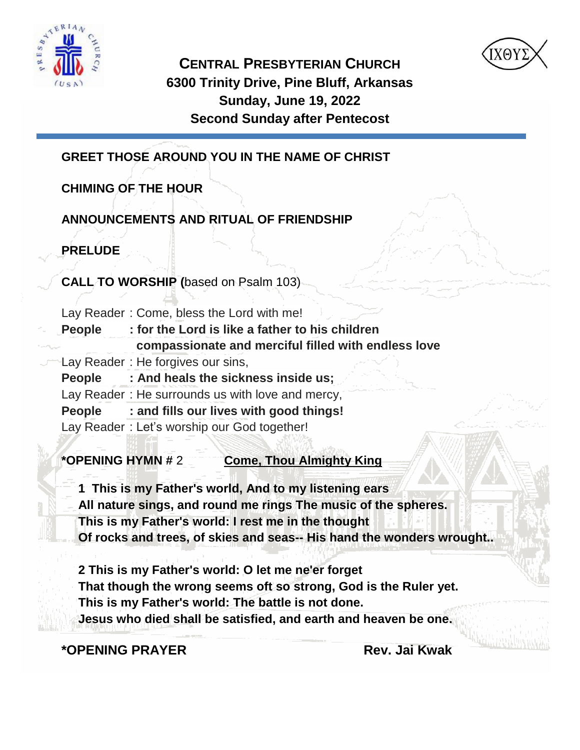



**CENTRAL PRESBYTERIAN CHURCH 6300 Trinity Drive, Pine Bluff, Arkansas Sunday, June 19, 2022 Second Sunday after Pentecost**

**GREET THOSE AROUND YOU IN THE NAME OF CHRIST** 

# **CHIMING OF THE HOUR**

# **ANNOUNCEMENTS AND RITUAL OF FRIENDSHIP**

**PRELUDE** 

**CALL TO WORSHIP (**based on Psalm 103)

Lay Reader : Come, bless the Lord with me!

| People | : for the Lord is like a father to his children     |
|--------|-----------------------------------------------------|
| سدا    | compassionate and merciful filled with endless love |
|        |                                                     |

- Lay Reader : He forgives our sins,
	- **People : And heals the sickness inside us;**
	- Lay Reader : He surrounds us with love and mercy,
	- **People : and fills our lives with good things!**
	- Lay Reader : Let's worship our God together!

**\*OPENING HYMN #** 2 **Come, Thou Almighty King**

**1 This is my Father's world, And to my listening ears**

- **All nature sings, and round me rings The music of the spheres.**
- **This is my Father's world: I rest me in the thought**
- **Of rocks and trees, of skies and seas-- His hand the wonders wrought..**

**2 This is my Father's world: O let me ne'er forget That though the wrong seems oft so strong, God is the Ruler yet. This is my Father's world: The battle is not done. Jesus who died shall be satisfied, and earth and heaven be one.**

**\*OPENING PRAYER Rev. Jai Kwak**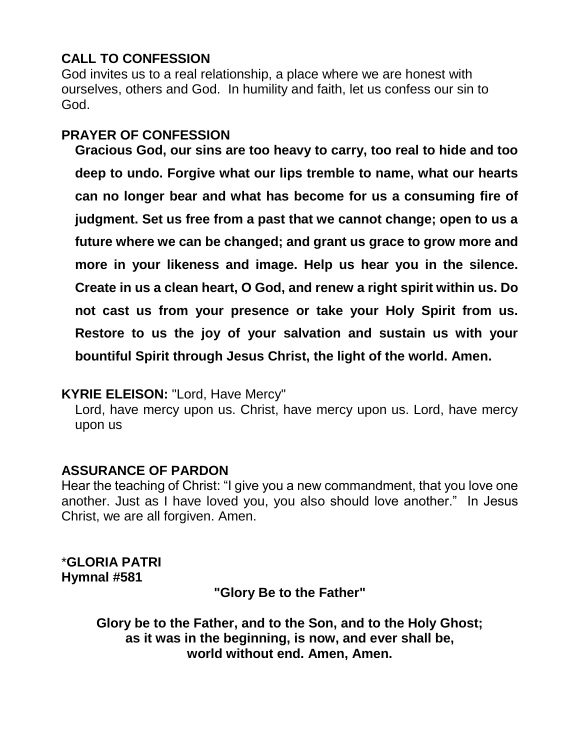# **CALL TO CONFESSION**

God invites us to a real relationship, a place where we are honest with ourselves, others and God. In humility and faith, let us confess our sin to God.

## **PRAYER OF CONFESSION**

**Gracious God, our sins are too heavy to carry, too real to hide and too deep to undo. Forgive what our lips tremble to name, what our hearts can no longer bear and what has become for us a consuming fire of judgment. Set us free from a past that we cannot change; open to us a future where we can be changed; and grant us grace to grow more and more in your likeness and image. Help us hear you in the silence. Create in us a clean heart, O God, and renew a right spirit within us. Do not cast us from your presence or take your Holy Spirit from us. Restore to us the joy of your salvation and sustain us with your bountiful Spirit through Jesus Christ, the light of the world. Amen.**

## **KYRIE ELEISON:** "Lord, Have Mercy"

Lord, have mercy upon us. Christ, have mercy upon us. Lord, have mercy upon us

## **ASSURANCE OF PARDON**

Hear the teaching of Christ: "I give you a new commandment, that you love one another. Just as I have loved you, you also should love another." In Jesus Christ, we are all forgiven. Amen.

\***GLORIA PATRI Hymnal #581**

**"Glory Be to the Father"**

**Glory be to the Father, and to the Son, and to the Holy Ghost; as it was in the beginning, is now, and ever shall be, world without end. Amen, Amen.**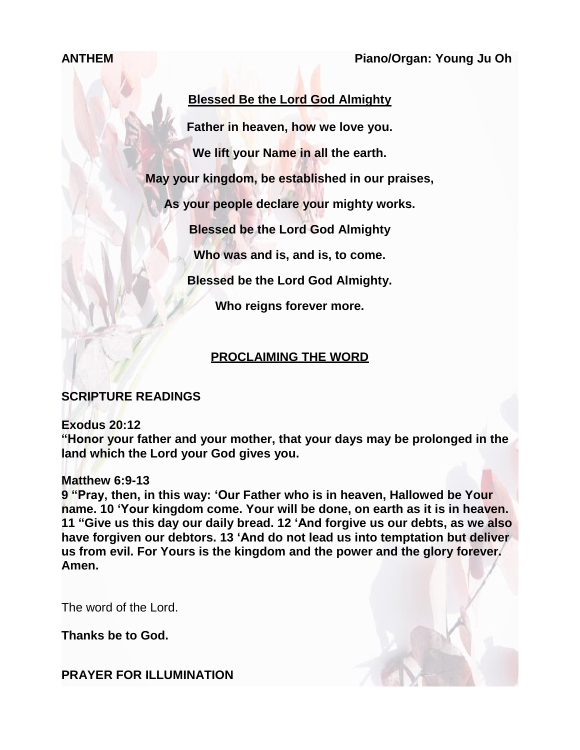**ANTHEM Piano/Organ: Young Ju Oh**

## **Blessed Be the Lord God Almighty**

**Father in heaven, how we love you.**

**We lift your Name in all the earth.**

**May your kingdom, be established in our praises,**

**As your people declare your mighty works.**

**Blessed be the Lord God Almighty**

**Who was and is, and is, to come.**

**Blessed be the Lord God Almighty.**

**Who reigns forever more.**

## **PROCLAIMING THE WORD**

## **SCRIPTURE READINGS**

#### **Exodus 20:12**

**"Honor your father and your mother, that your days may be prolonged in the land which the Lord your God gives you.**

#### **Matthew 6:9-13**

**9 "Pray, then, in this way: 'Our Father who is in heaven, Hallowed be Your name. 10 'Your kingdom come. Your will be done, on earth as it is in heaven. 11 "Give us this day our daily bread. 12 'And forgive us our debts, as we also have forgiven our debtors. 13 'And do not lead us into temptation but deliver us from evil. For Yours is the kingdom and the power and the glory forever. Amen.**

The word of the Lord.

**Thanks be to God.**

## **PRAYER FOR ILLUMINATION**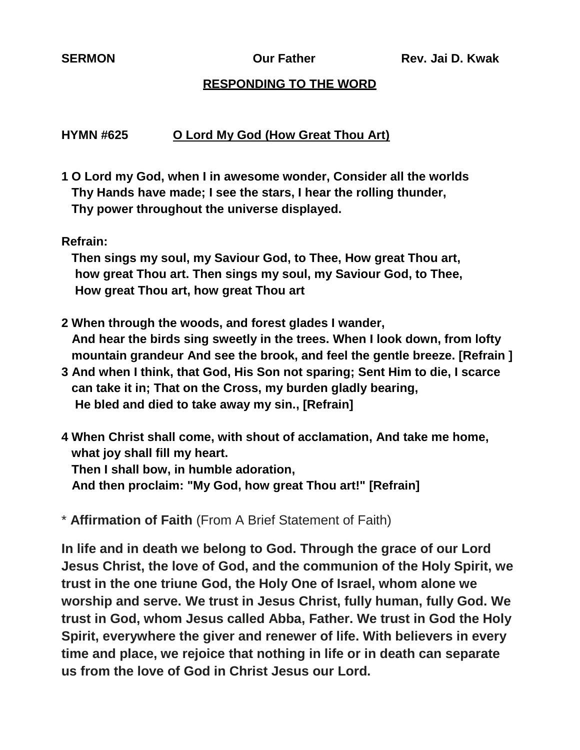#### **RESPONDING TO THE WORD**

#### **HYMN #625 O Lord My God (How Great Thou Art)**

- **1 O Lord my God, when I in awesome wonder, Consider all the worlds Thy Hands have made; I see the stars, I hear the rolling thunder, Thy power throughout the universe displayed.**
- **Refrain:**

 **Then sings my soul, my Saviour God, to Thee, How great Thou art, how great Thou art. Then sings my soul, my Saviour God, to Thee, How great Thou art, how great Thou art** 

- **2 When through the woods, and forest glades I wander, And hear the birds sing sweetly in the trees. When I look down, from lofty mountain grandeur And see the brook, and feel the gentle breeze. [Refrain ]**
- **3 And when I think, that God, His Son not sparing; Sent Him to die, I scarce can take it in; That on the Cross, my burden gladly bearing, He bled and died to take away my sin., [Refrain]**
- **4 When Christ shall come, with shout of acclamation, And take me home, what joy shall fill my heart. Then I shall bow, in humble adoration, And then proclaim: "My God, how great Thou art!" [Refrain]**

\* **Affirmation of Faith** (From A Brief Statement of Faith)

**In life and in death we belong to God. Through the grace of our Lord Jesus Christ, the love of God, and the communion of the Holy Spirit, we trust in the one triune God, the Holy One of Israel, whom alone we worship and serve. We trust in Jesus Christ, fully human, fully God. We trust in God, whom Jesus called Abba, Father. We trust in God the Holy Spirit, everywhere the giver and renewer of life. With believers in every time and place, we rejoice that nothing in life or in death can separate us from the love of God in Christ Jesus our Lord.**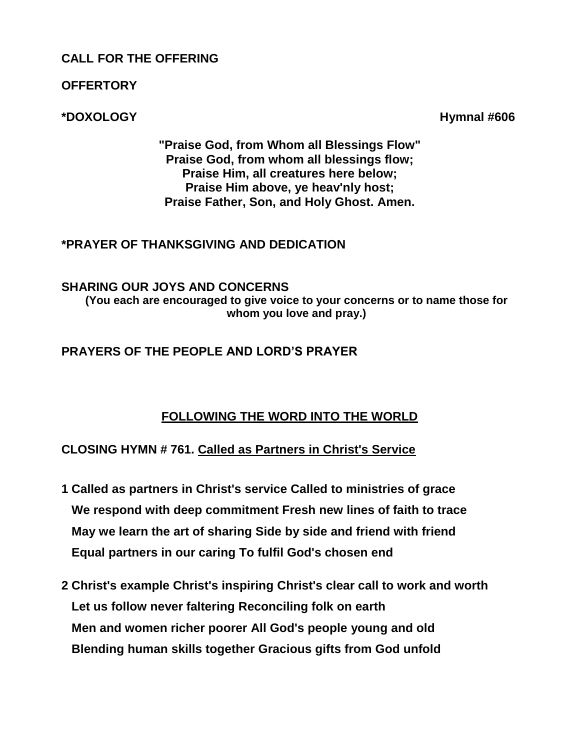### **CALL FOR THE OFFERING**

**OFFERTORY**

**\*DOXOLOGY Hymnal #606** 

**"Praise God, from Whom all Blessings Flow" Praise God, from whom all blessings flow; Praise Him, all creatures here below; Praise Him above, ye heav'nly host; Praise Father, Son, and Holy Ghost. Amen.**

### **\*PRAYER OF THANKSGIVING AND DEDICATION**

#### **SHARING OUR JOYS AND CONCERNS (You each are encouraged to give voice to your concerns or to name those for whom you love and pray.)**

**PRAYERS OF THE PEOPLE AND LORD'S PRAYER**

# **FOLLOWING THE WORD INTO THE WORLD**

## **CLOSING HYMN # 761. Called as Partners in Christ's Service**

- **1 Called as partners in Christ's service Called to ministries of grace We respond with deep commitment Fresh new lines of faith to trace May we learn the art of sharing Side by side and friend with friend Equal partners in our caring To fulfil God's chosen end**
- **2 Christ's example Christ's inspiring Christ's clear call to work and worth Let us follow never faltering Reconciling folk on earth Men and women richer poorer All God's people young and old Blending human skills together Gracious gifts from God unfold**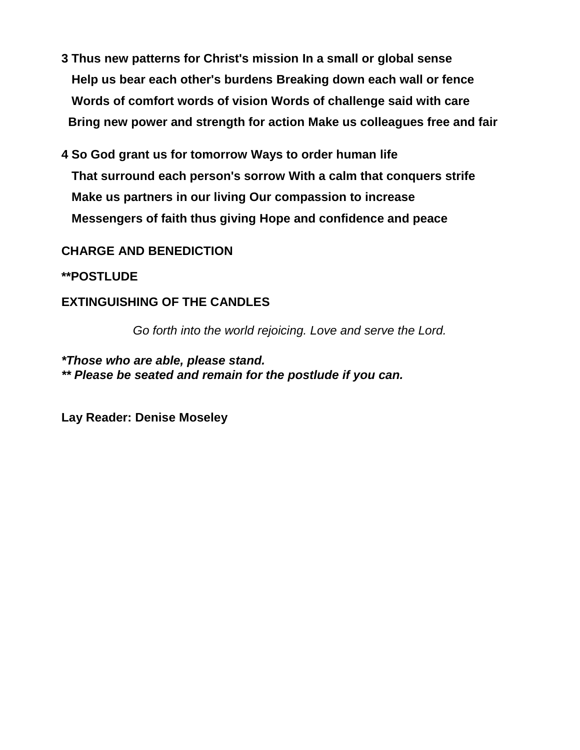- **3 Thus new patterns for Christ's mission In a small or global sense Help us bear each other's burdens Breaking down each wall or fence Words of comfort words of vision Words of challenge said with care Bring new power and strength for action Make us colleagues free and fair**
- **4 So God grant us for tomorrow Ways to order human life That surround each person's sorrow With a calm that conquers strife Make us partners in our living Our compassion to increase Messengers of faith thus giving Hope and confidence and peace**

#### **CHARGE AND BENEDICTION**

#### **\*\*POSTLUDE**

### **EXTINGUISHING OF THE CANDLES**

*Go forth into the world rejoicing. Love and serve the Lord.*

#### *\*Those who are able, please stand. \*\* Please be seated and remain for the postlude if you can.*

**Lay Reader: Denise Moseley**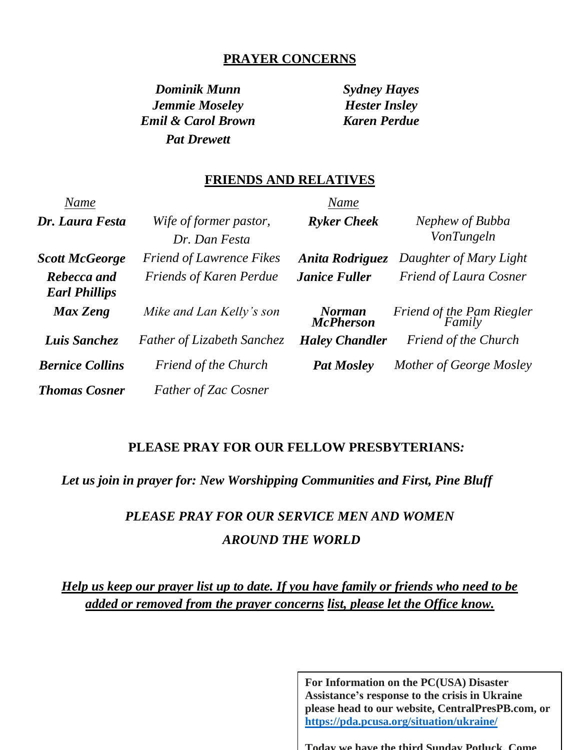#### **PRAYER CONCERNS**

*Dominik Munn Sydney Hayes Jemmie Moseley Hester Insley Emil & Carol Brown Karen Perdue Pat Drewett*

#### **FRIENDS AND RELATIVES**

| Name                                |                                         | Name                              |                                     |
|-------------------------------------|-----------------------------------------|-----------------------------------|-------------------------------------|
| Dr. Laura Festa                     | Wife of former pastor,<br>Dr. Dan Festa | <b>Ryker Cheek</b>                | Nephew of Bubba<br>VonTungeln       |
| <b>Scott McGeorge</b>               | <b>Friend of Lawrence Fikes</b>         | Anita Rodriguez                   | Daughter of Mary Light              |
| Rebecca and<br><b>Earl Phillips</b> | <b>Friends of Karen Perdue</b>          | <b>Janice Fuller</b>              | <b>Friend of Laura Cosner</b>       |
| Max Zeng                            | Mike and Lan Kelly's son                | <b>Norman</b><br><b>McPherson</b> | Friend of the Pam Riegler<br>Family |
| Luis Sanchez                        | <b>Father of Lizabeth Sanchez</b>       | <b>Haley Chandler</b>             | Friend of the Church                |
| <b>Bernice Collins</b>              | <b>Friend of the Church</b>             | <b>Pat Mosley</b>                 | Mother of George Mosley             |
| <b>Thomas Cosner</b>                | <b>Father of Zac Cosner</b>             |                                   |                                     |

#### **PLEASE PRAY FOR OUR FELLOW PRESBYTERIANS***:*

*Let us join in prayer for: New Worshipping Communities and First, Pine Bluff*

# *PLEASE PRAY FOR OUR SERVICE MEN AND WOMEN AROUND THE WORLD*

*Help us keep our prayer list up to date. If you have family or friends who need to be added or removed from the prayer concerns list, please let the Office know.*

> **For Information on the PC(USA) Disaster Assistance's response to the crisis in Ukraine please head to our website, CentralPresPB.com, or <https://pda.pcusa.org/situation/ukraine/>**

**Today we have the third Sunday Potluck. Come**